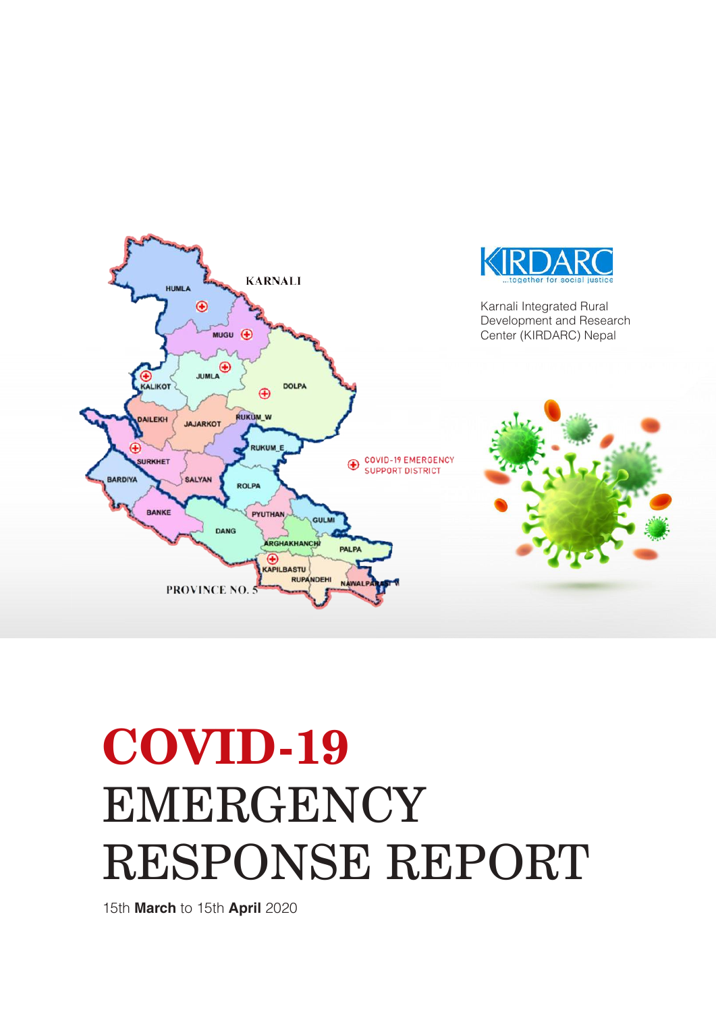

# **COVID-19**  EMERGENCY RESPONSE REPORT

15th **March** to 15th **April** 2020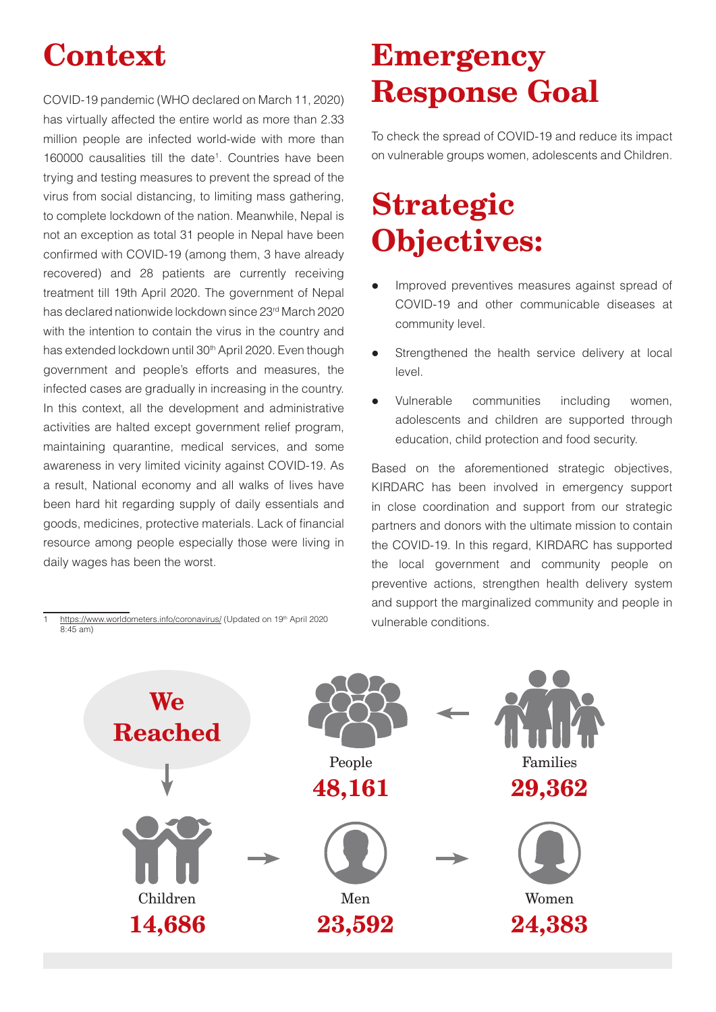## **Context**

COVID-19 pandemic (WHO declared on March 11, 2020) has virtually affected the entire world as more than 2.33 million people are infected world-wide with more than 160000 causalities till the date<sup>1</sup>. Countries have been trying and testing measures to prevent the spread of the virus from social distancing, to limiting mass gathering, to complete lockdown of the nation. Meanwhile, Nepal is not an exception as total 31 people in Nepal have been confirmed with COVID-19 (among them, 3 have already recovered) and 28 patients are currently receiving treatment till 19th April 2020. The government of Nepal has declared nationwide lockdown since 23rd March 2020 with the intention to contain the virus in the country and has extended lockdown until 30<sup>th</sup> April 2020. Even though government and people's efforts and measures, the infected cases are gradually in increasing in the country. In this context, all the development and administrative activities are halted except government relief program, maintaining quarantine, medical services, and some awareness in very limited vicinity against COVID-19. As a result, National economy and all walks of lives have been hard hit regarding supply of daily essentials and goods, medicines, protective materials. Lack of financial resource among people especially those were living in daily wages has been the worst.

## **Emergency Response Goal**

To check the spread of COVID-19 and reduce its impact on vulnerable groups women, adolescents and Children.

## **Strategic Objectives:**

- Improved preventives measures against spread of COVID-19 and other communicable diseases at community level.
- Strengthened the health service delivery at local level.
- Vulnerable communities including women, adolescents and children are supported through education, child protection and food security.

Based on the aforementioned strategic objectives, KIRDARC has been involved in emergency support in close coordination and support from our strategic partners and donors with the ultimate mission to contain the COVID-19. In this regard, KIRDARC has supported the local government and community people on preventive actions, strengthen health delivery system and support the marginalized community and people in vulnerable conditions.



https://www.worldometers.info/coronavirus/ (Updated on 19<sup>th</sup> April 2020 8:45 am)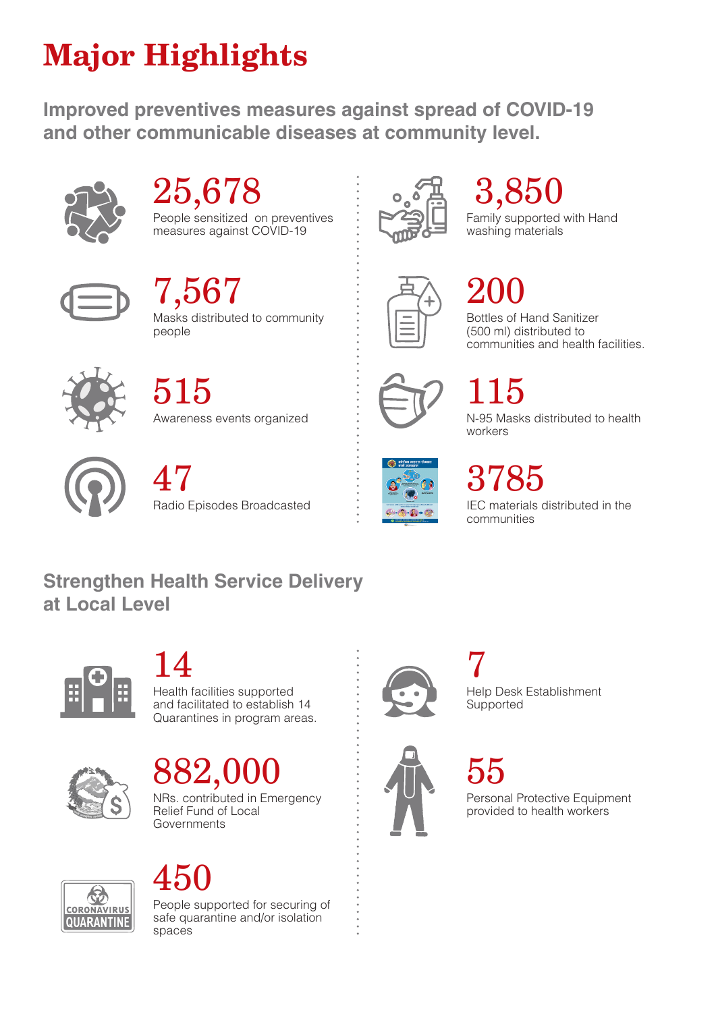## **Major Highlights**

**Improved preventives measures against spread of COVID-19 and other communicable diseases at community level.** 



# 25,678

People sensitized on preventives measures against COVID-19



Masks distributed to community people  $7,567$ 



# 3,850

Family supported with Hand washing materials

# 200

Bottles of Hand Sanitizer (500 ml) distributed to communities and health facilities.



Awareness events organized 515



## 115

N-95 Masks distributed to health workers



47

Radio Episodes Broadcasted



# 3785

IEC materials distributed in the communities

### **Strengthen Health Service Delivery at Local Level**



14

Health facilities supported and facilitated to establish 14 Quarantines in program areas.



### NRs. contributed in Emergency 882,00

Relief Fund of Local Governments





People supported for securing of safe quarantine and/or isolation spaces



Help Desk Establishment **Supported** 7



55

Personal Protective Equipment provided to health workers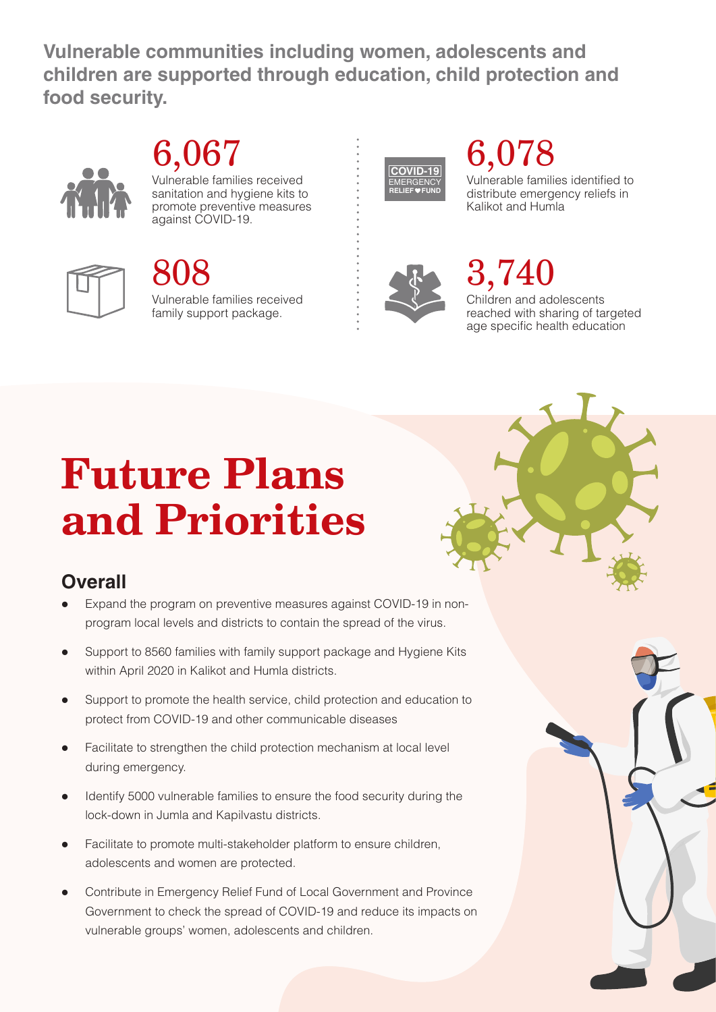**Vulnerable communities including women, adolescents and children are supported through education, child protection and food security.**



### Vulnerable families received 6,067

sanitation and hygiene kits to promote preventive measures against COVID-19.



### Vulnerable families received family support package. 808



# 6,078

Vulnerable families identified to distribute emergency reliefs in Kalikot and Humla



## 3,740

Children and adolescents reached with sharing of targeted age specific health education

# **Future Plans and Priorities**

### **Overall**

- Expand the program on preventive measures against COVID-19 in nonprogram local levels and districts to contain the spread of the virus.
- Support to 8560 families with family support package and Hygiene Kits within April 2020 in Kalikot and Humla districts.
- Support to promote the health service, child protection and education to protect from COVID-19 and other communicable diseases
- l Facilitate to strengthen the child protection mechanism at local level during emergency.
- l Identify 5000 vulnerable families to ensure the food security during the lock-down in Jumla and Kapilvastu districts.
- Facilitate to promote multi-stakeholder platform to ensure children, adolescents and women are protected.
- Contribute in Emergency Relief Fund of Local Government and Province Government to check the spread of COVID-19 and reduce its impacts on vulnerable groups' women, adolescents and children.

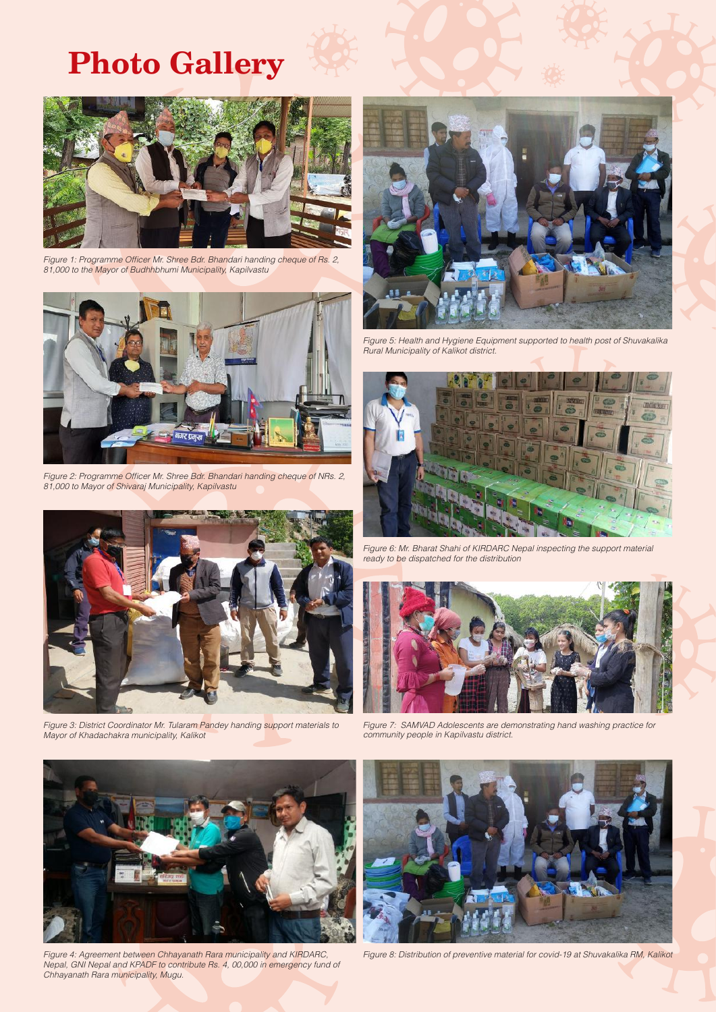### **Photo Gallery**



*Figure 1: Programme Officer Mr. Shree Bdr. Bhandari handing cheque of Rs. 2, 81,000 to the Mayor of Budhhbhumi Municipality, Kapilvastu*



*Figure 2: Programme Officer Mr. Shree Bdr. Bhandari handing cheque of NRs. 2, 81,000 to Mayor of Shivaraj Municipality, Kapilvastu*



*Figure 3: District Coordinator Mr. Tularam Pandey handing support materials to Mayor of Khadachakra municipality, Kalikot*



*Figure 5: Health and Hygiene Equipment supported to health post of Shuvakalika Rural Municipality of Kalikot district.*



*Figure 6: Mr. Bharat Shahi of KIRDARC Nepal inspecting the support material ready to be dispatched for the distribution* 



*Figure 7: SAMVAD Adolescents are demonstrating hand washing practice for community people in Kapilvastu district.*



*Figure 4: Agreement between Chhayanath Rara municipality and KIRDARC, Nepal, GNI Nepal and KPADF to contribute Rs. 4, 00,000 in emergency fund of Chhayanath Rara municipality, Mugu.*



*Figure 8: Distribution of preventive material for covid-19 at Shuvakalika RM, Kalikot*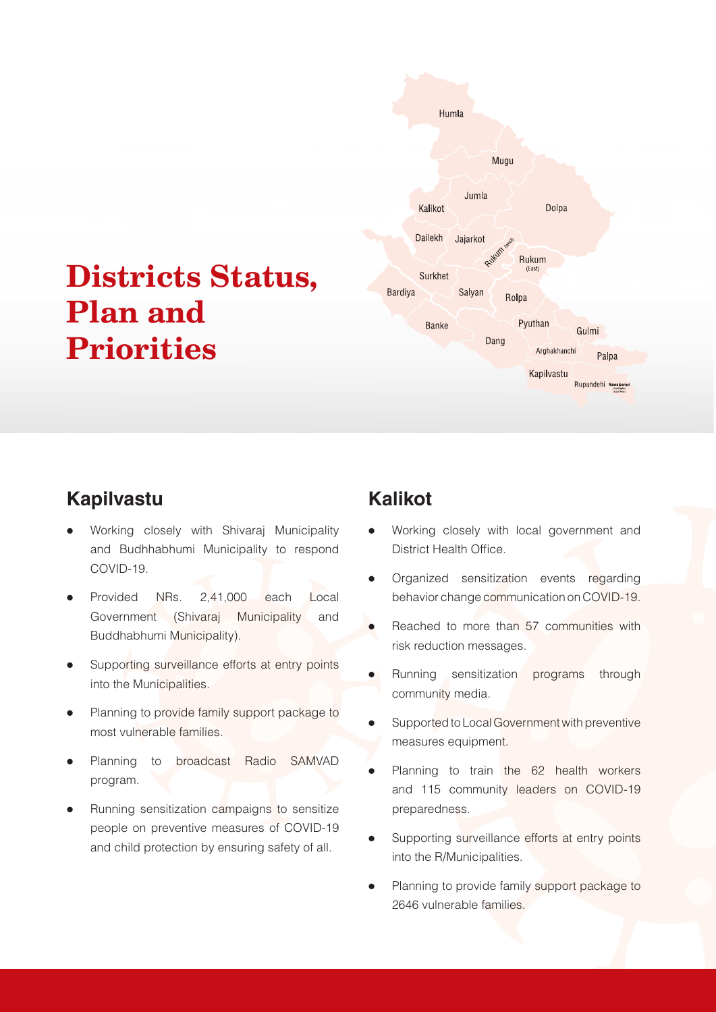## **Districts Status, Plan and Priorities**



### **Kapilvastu**

- Working closely with Shivaraj Municipality and Budhhabhumi Municipality to respond COVID-19.
- Provided NRs. 2,41,000 each Local Government (Shivaraj Municipality and Buddhabhumi Municipality).
- Supporting surveillance efforts at entry points into the Municipalities.
- Planning to provide family support package to most vulnerable families.
- Planning to broadcast Radio SAMVAD program.
- Running sensitization campaigns to sensitize people on preventive measures of COVID-19 and child protection by ensuring safety of all.

### **Kalikot**

- Working closely with local government and District Health Office.
- Organized sensitization events regarding behavior change communication on COVID-19.
- Reached to more than 57 communities with risk reduction messages.
- Running sensitization programs through community media.
- Supported to Local Government with preventive measures equipment.
- Planning to train the 62 health workers and 115 community leaders on COVID-19 preparedness.
- Supporting surveillance efforts at entry points into the R/Municipalities.
- Planning to provide family support package to 2646 vulnerable families.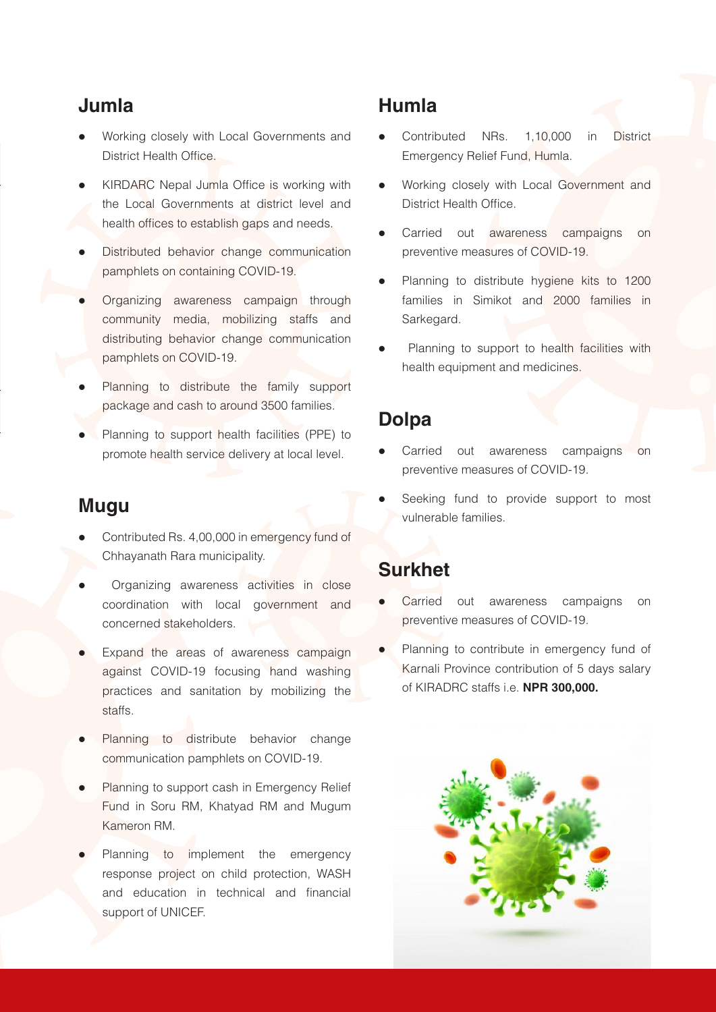### **Jumla**

- Working closely with Local Governments and District Health Office.
- KIRDARC Nepal Jumla Office is working with the Local Governments at district level and health offices to establish gaps and needs.
- Distributed behavior change communication pamphlets on containing COVID-19.
- Organizing awareness campaign through community media, mobilizing staffs and distributing behavior change communication pamphlets on COVID-19.
- Planning to distribute the family support package and cash to around 3500 families.
- Planning to support health facilities (PPE) to promote health service delivery at local level.

#### **Mugu**

- Contributed Rs. 4,00,000 in emergency fund of Chhayanath Rara municipality.
- Organizing awareness activities in close coordination with local government and concerned stakeholders.
- Expand the areas of awareness campaign against COVID-19 focusing hand washing practices and sanitation by mobilizing the staffs.
- Planning to distribute behavior change communication pamphlets on COVID-19.
- Planning to support cash in Emergency Relief Fund in Soru RM, Khatyad RM and Mugum Kameron RM.
- Planning to implement the emergency response project on child protection, WASH and education in technical and financial support of UNICEF.

### **Humla**

- Contributed NRs. 1,10,000 in District Emergency Relief Fund, Humla.
- Working closely with Local Government and District Health Office.
- Carried out awareness campaigns on preventive measures of COVID-19.
- Planning to distribute hygiene kits to 1200 families in Simikot and 2000 families in Sarkegard.
- Planning to support to health facilities with health equipment and medicines.

### **Dolpa**

- Carried out awareness campaigns on preventive measures of COVID-19.
- Seeking fund to provide support to most vulnerable families.

### **Surkhet**

- Carried out awareness campaigns on preventive measures of COVID-19.
- Planning to contribute in emergency fund of Karnali Province contribution of 5 days salary of KIRADRC staffs i.e. **NPR 300,000.**

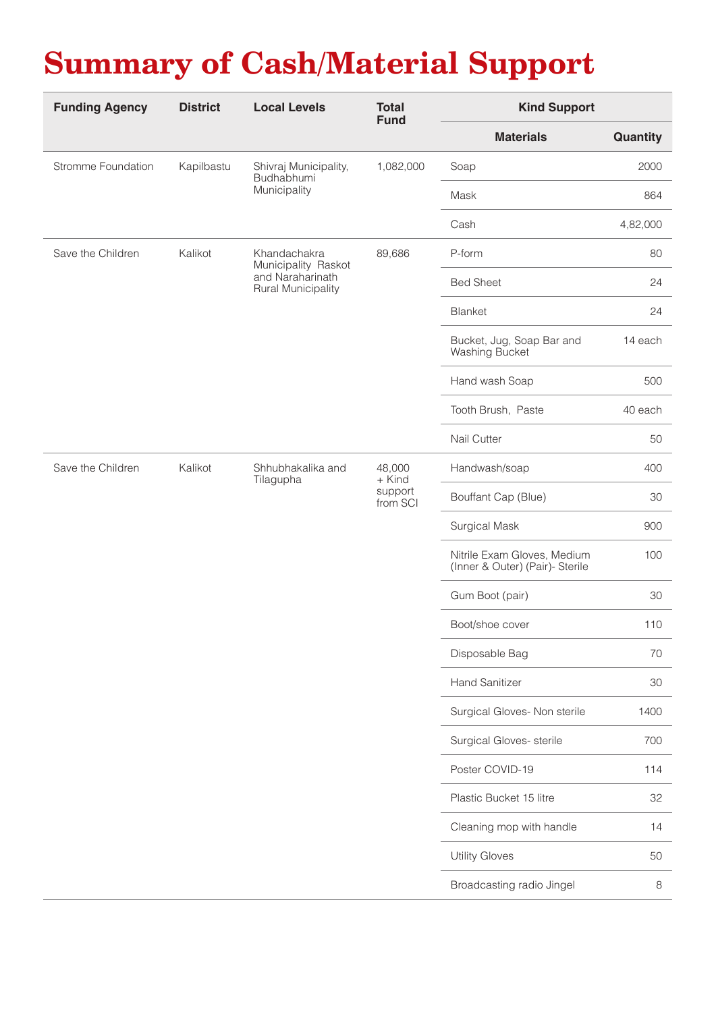## **Summary of Cash/Material Support**

| <b>Funding Agency</b> | <b>District</b> | <b>Local Levels</b>                                                                  | <b>Total</b><br><b>Fund</b>             | <b>Kind Support</b>                                            |          |
|-----------------------|-----------------|--------------------------------------------------------------------------------------|-----------------------------------------|----------------------------------------------------------------|----------|
|                       |                 |                                                                                      |                                         | <b>Materials</b>                                               | Quantity |
| Stromme Foundation    | Kapilbastu      | Shivraj Municipality,<br>Budhabhumi<br>Municipality                                  | 1,082,000                               | Soap                                                           | 2000     |
|                       |                 |                                                                                      |                                         | Mask                                                           | 864      |
|                       |                 |                                                                                      |                                         | Cash                                                           | 4,82,000 |
| Save the Children     | Kalikot         | Khandachakra<br>Municipality Raskot<br>and Naraharinath<br><b>Rural Municipality</b> | 89,686                                  | P-form                                                         | 80       |
|                       |                 |                                                                                      |                                         | <b>Bed Sheet</b>                                               | 24       |
|                       |                 |                                                                                      |                                         | Blanket                                                        | 24       |
|                       |                 |                                                                                      |                                         | Bucket, Jug, Soap Bar and<br>Washing Bucket                    | 14 each  |
|                       |                 |                                                                                      |                                         | Hand wash Soap                                                 | 500      |
|                       |                 |                                                                                      |                                         | Tooth Brush, Paste                                             | 40 each  |
|                       |                 |                                                                                      |                                         | Nail Cutter                                                    | 50       |
| Save the Children     | Kalikot         | Shhubhakalika and<br>Tilagupha                                                       | 48,000<br>+ Kind<br>support<br>from SCI | Handwash/soap                                                  | 400      |
|                       |                 |                                                                                      |                                         | Bouffant Cap (Blue)                                            | 30       |
|                       |                 |                                                                                      |                                         | Surgical Mask                                                  | 900      |
|                       |                 |                                                                                      |                                         | Nitrile Exam Gloves, Medium<br>(Inner & Outer) (Pair)- Sterile | 100      |
|                       |                 |                                                                                      |                                         | Gum Boot (pair)                                                | 30       |
|                       |                 |                                                                                      |                                         | Boot/shoe cover                                                | 110      |
|                       |                 |                                                                                      |                                         | Disposable Bag                                                 | 70       |
|                       |                 |                                                                                      |                                         | <b>Hand Sanitizer</b>                                          | 30       |
|                       |                 |                                                                                      |                                         | Surgical Gloves- Non sterile                                   | 1400     |
|                       |                 |                                                                                      |                                         | Surgical Gloves- sterile                                       | 700      |
|                       |                 |                                                                                      |                                         | Poster COVID-19                                                | 114      |
|                       |                 |                                                                                      |                                         | Plastic Bucket 15 litre                                        | 32       |
|                       |                 |                                                                                      |                                         | Cleaning mop with handle                                       | 14       |
|                       |                 |                                                                                      |                                         | <b>Utility Gloves</b>                                          | 50       |
|                       |                 |                                                                                      |                                         | Broadcasting radio Jingel                                      | 8        |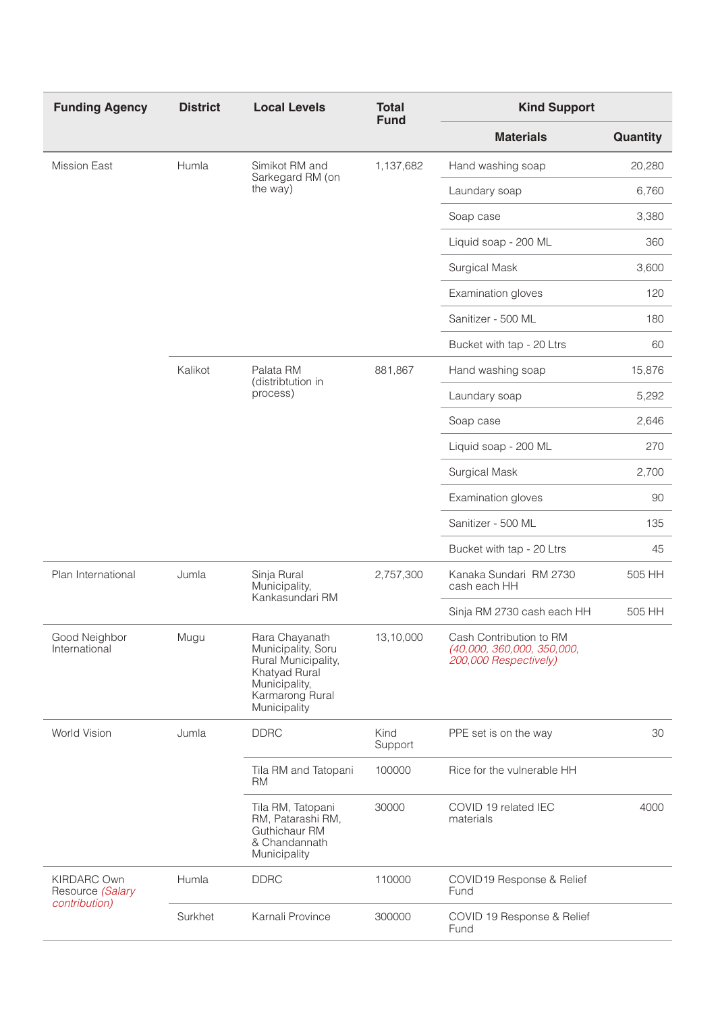| <b>Funding Agency</b>                                   | <b>District</b> | <b>Local Levels</b>                                                                                                              | <b>Total</b><br><b>Fund</b> | <b>Kind Support</b>                                                            |          |
|---------------------------------------------------------|-----------------|----------------------------------------------------------------------------------------------------------------------------------|-----------------------------|--------------------------------------------------------------------------------|----------|
|                                                         |                 |                                                                                                                                  |                             | <b>Materials</b>                                                               | Quantity |
| <b>Mission East</b>                                     | Humla           | Simikot RM and<br>Sarkegard RM (on<br>the way)                                                                                   | 1,137,682                   | Hand washing soap                                                              | 20,280   |
|                                                         |                 |                                                                                                                                  |                             | Laundary soap                                                                  | 6,760    |
|                                                         |                 |                                                                                                                                  |                             | Soap case                                                                      | 3,380    |
|                                                         |                 |                                                                                                                                  |                             | Liquid soap - 200 ML                                                           | 360      |
|                                                         |                 |                                                                                                                                  |                             | <b>Surgical Mask</b>                                                           | 3,600    |
|                                                         |                 |                                                                                                                                  |                             | Examination gloves                                                             | 120      |
|                                                         |                 |                                                                                                                                  |                             | Sanitizer - 500 ML                                                             | 180      |
|                                                         |                 |                                                                                                                                  |                             | Bucket with tap - 20 Ltrs                                                      | 60       |
|                                                         | Kalikot         | Palata RM<br>(distribtution in<br>process)                                                                                       | 881,867                     | Hand washing soap                                                              | 15,876   |
|                                                         |                 |                                                                                                                                  |                             | Laundary soap                                                                  | 5,292    |
|                                                         |                 |                                                                                                                                  |                             | Soap case                                                                      | 2,646    |
|                                                         |                 |                                                                                                                                  |                             | Liquid soap - 200 ML                                                           | 270      |
|                                                         |                 |                                                                                                                                  |                             | <b>Surgical Mask</b>                                                           | 2,700    |
|                                                         |                 |                                                                                                                                  |                             | Examination gloves                                                             | 90       |
|                                                         |                 |                                                                                                                                  |                             | Sanitizer - 500 ML                                                             | 135      |
|                                                         |                 |                                                                                                                                  |                             | Bucket with tap - 20 Ltrs                                                      | 45       |
| Plan International                                      | Jumla           | Sinja Rural<br>Municipality,<br>Kankasundari RM                                                                                  | 2,757,300                   | Kanaka Sundari RM 2730<br>cash each HH                                         | 505 HH   |
|                                                         |                 |                                                                                                                                  |                             | Sinja RM 2730 cash each HH                                                     | 505 HH   |
| Good Neighbor<br>International                          | Mugu            | Rara Chayanath<br>Municipality, Soru<br>Rural Municipality,<br>Khatyad Rural<br>Municipality,<br>Karmarong Rural<br>Municipality | 13,10,000                   | Cash Contribution to RM<br>(40,000, 360,000, 350,000,<br>200,000 Respectively) |          |
| World Vision                                            | Jumla           | <b>DDRC</b>                                                                                                                      | Kind<br>Support             | PPE set is on the way                                                          | 30       |
|                                                         |                 | Tila RM and Tatopani<br><b>RM</b>                                                                                                | 100000                      | Rice for the vulnerable HH                                                     |          |
|                                                         |                 | Tila RM, Tatopani<br>RM, Patarashi RM,<br>Guthichaur RM<br>& Chandannath<br>Municipality                                         | 30000                       | COVID 19 related IEC<br>materials                                              | 4000     |
| <b>KIRDARC Own</b><br>Resource (Salary<br>contribution) | Humla           | <b>DDRC</b>                                                                                                                      | 110000                      | COVID19 Response & Relief<br>Fund                                              |          |
|                                                         | Surkhet         | Karnali Province                                                                                                                 | 300000                      | COVID 19 Response & Relief<br>Fund                                             |          |